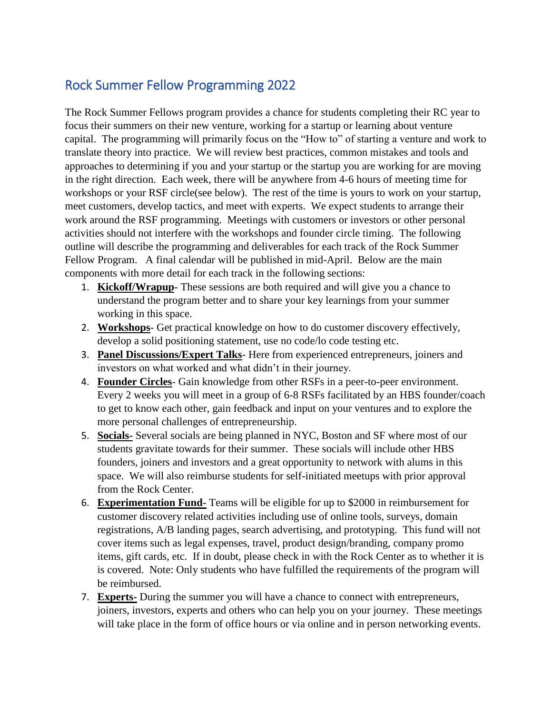# Rock Summer Fellow Programming 2022

The Rock Summer Fellows program provides a chance for students completing their RC year to focus their summers on their new venture, working for a startup or learning about venture capital. The programming will primarily focus on the "How to" of starting a venture and work to translate theory into practice. We will review best practices, common mistakes and tools and approaches to determining if you and your startup or the startup you are working for are moving in the right direction. Each week, there will be anywhere from 4-6 hours of meeting time for workshops or your RSF circle(see below). The rest of the time is yours to work on your startup, meet customers, develop tactics, and meet with experts. We expect students to arrange their work around the RSF programming. Meetings with customers or investors or other personal activities should not interfere with the workshops and founder circle timing. The following outline will describe the programming and deliverables for each track of the Rock Summer Fellow Program. A final calendar will be published in mid-April. Below are the main components with more detail for each track in the following sections:

- 1. **Kickoff/Wrapup** These sessions are both required and will give you a chance to understand the program better and to share your key learnings from your summer working in this space.
- 2. **Workshops** Get practical knowledge on how to do customer discovery effectively, develop a solid positioning statement, use no code/lo code testing etc.
- 3. **Panel Discussions/Expert Talks** Here from experienced entrepreneurs, joiners and investors on what worked and what didn't in their journey.
- 4. **Founder Circles** Gain knowledge from other RSFs in a peer-to-peer environment. Every 2 weeks you will meet in a group of 6-8 RSFs facilitated by an HBS founder/coach to get to know each other, gain feedback and input on your ventures and to explore the more personal challenges of entrepreneurship.
- 5. **Socials-** Several socials are being planned in NYC, Boston and SF where most of our students gravitate towards for their summer. These socials will include other HBS founders, joiners and investors and a great opportunity to network with alums in this space. We will also reimburse students for self-initiated meetups with prior approval from the Rock Center.
- 6. **Experimentation Fund-** Teams will be eligible for up to \$2000 in reimbursement for customer discovery related activities including use of online tools, surveys, domain registrations, A/B landing pages, search advertising, and prototyping. This fund will not cover items such as legal expenses, travel, product design/branding, company promo items, gift cards, etc. If in doubt, please check in with the Rock Center as to whether it is is covered. Note: Only students who have fulfilled the requirements of the program will be reimbursed.
- 7. **Experts-** During the summer you will have a chance to connect with entrepreneurs, joiners, investors, experts and others who can help you on your journey. These meetings will take place in the form of office hours or via online and in person networking events.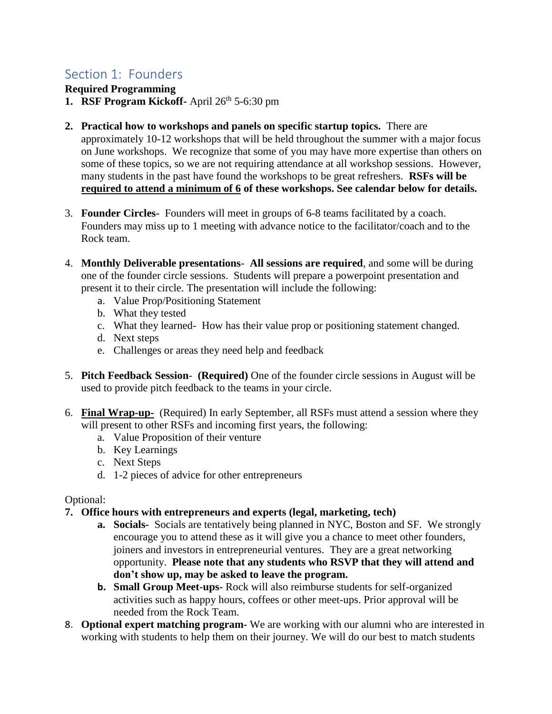## Section 1: Founders

**Required Programming**

- **1. RSF Program Kickoff-** April 26<sup>th</sup> 5-6:30 pm
- **2. Practical how to workshops and panels on specific startup topics.** There are approximately 10-12 workshops that will be held throughout the summer with a major focus on June workshops.We recognize that some of you may have more expertise than others on some of these topics, so we are not requiring attendance at all workshop sessions. However, many students in the past have found the workshops to be great refreshers. **RSFs will be required to attend a minimum of 6 of these workshops. See calendar below for details.**
- 3. **Founder Circles-** Founders will meet in groups of 6-8 teams facilitated by a coach. Founders may miss up to 1 meeting with advance notice to the facilitator/coach and to the Rock team.
- 4. **Monthly Deliverable presentations All sessions are required**, and some will be during one of the founder circle sessions. Students will prepare a powerpoint presentation and present it to their circle. The presentation will include the following:
	- a. Value Prop/Positioning Statement
	- b. What they tested
	- c. What they learned- How has their value prop or positioning statement changed.
	- d. Next steps
	- e. Challenges or areas they need help and feedback
- 5. **Pitch Feedback Session (Required)** One of the founder circle sessions in August will be used to provide pitch feedback to the teams in your circle.
- 6. **Final Wrap-up-** (Required) In early September, all RSFs must attend a session where they will present to other RSFs and incoming first years, the following:
	- a. Value Proposition of their venture
	- b. Key Learnings
	- c. Next Steps
	- d. 1-2 pieces of advice for other entrepreneurs

Optional:

- **7. Office hours with entrepreneurs and experts (legal, marketing, tech)** 
	- **a. Socials-** Socials are tentatively being planned in NYC, Boston and SF.We strongly encourage you to attend these as it will give you a chance to meet other founders, joiners and investors in entrepreneurial ventures. They are a great networking opportunity. **Please note that any students who RSVP that they will attend and don't show up, may be asked to leave the program.**
	- **b. Small Group Meet-ups-** Rock will also reimburse students for self-organized activities such as happy hours, coffees or other meet-ups. Prior approval will be needed from the Rock Team.
- 8. **Optional expert matching program-** We are working with our alumni who are interested in working with students to help them on their journey. We will do our best to match students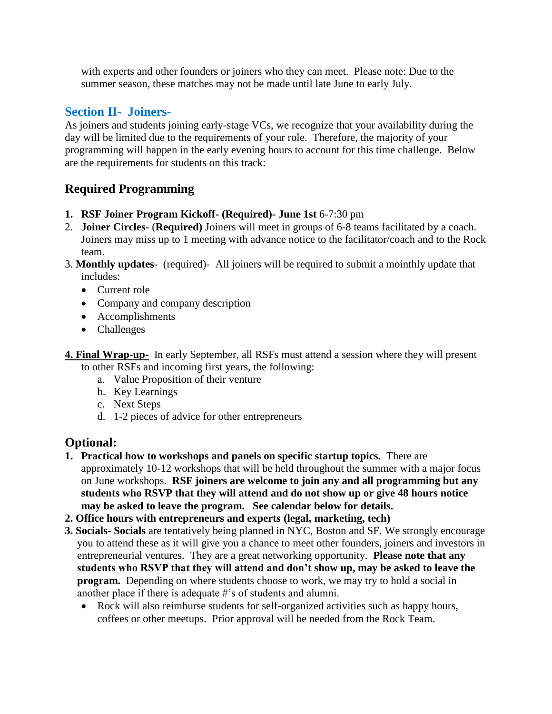with experts and other founders or joiners who they can meet. Please note: Due to the summer season, these matches may not be made until late June to early July.

#### **Section II- Joiners-**

As joiners and students joining early-stage VCs, we recognize that your availability during the day will be limited due to the requirements of your role. Therefore, the majority of your programming will happen in the early evening hours to account for this time challenge. Below are the requirements for students on this track:

#### **Required Programming**

- **1. RSF Joiner Program Kickoff- (Required)- June 1st** 6-7:30 pm
- 2. **Joiner Circles** (**Required)** Joiners will meet in groups of 6-8 teams facilitated by a coach. Joiners may miss up to 1 meeting with advance notice to the facilitator/coach and to the Rock team.
- 3. **Monthly updates** (required)- All joiners will be required to submit a mointhly update that includes:
	- Current role
	- Company and company description
	- Accomplishments
	- Challenges
- **4. Final Wrap-up-** In early September, all RSFs must attend a session where they will present to other RSFs and incoming first years, the following:
	- a. Value Proposition of their venture
	- b. Key Learnings
	- c. Next Steps
	- d. 1-2 pieces of advice for other entrepreneurs

### **Optional:**

- **1. Practical how to workshops and panels on specific startup topics.** There are approximately 10-12 workshops that will be held throughout the summer with a major focus on June workshops. **RSF joiners are welcome to join any and all programming but any students who RSVP that they will attend and do not show up or give 48 hours notice may be asked to leave the program. See calendar below for details.**
- **2. Office hours with entrepreneurs and experts (legal, marketing, tech)**
- **3. Socials- Socials** are tentatively being planned in NYC, Boston and SF. We strongly encourage you to attend these as it will give you a chance to meet other founders, joiners and investors in entrepreneurial ventures. They are a great networking opportunity. **Please note that any students who RSVP that they will attend and don't show up, may be asked to leave the program.** Depending on where students choose to work, we may try to hold a social in another place if there is adequate #'s of students and alumni.
	- Rock will also reimburse students for self-organized activities such as happy hours, coffees or other meetups. Prior approval will be needed from the Rock Team.